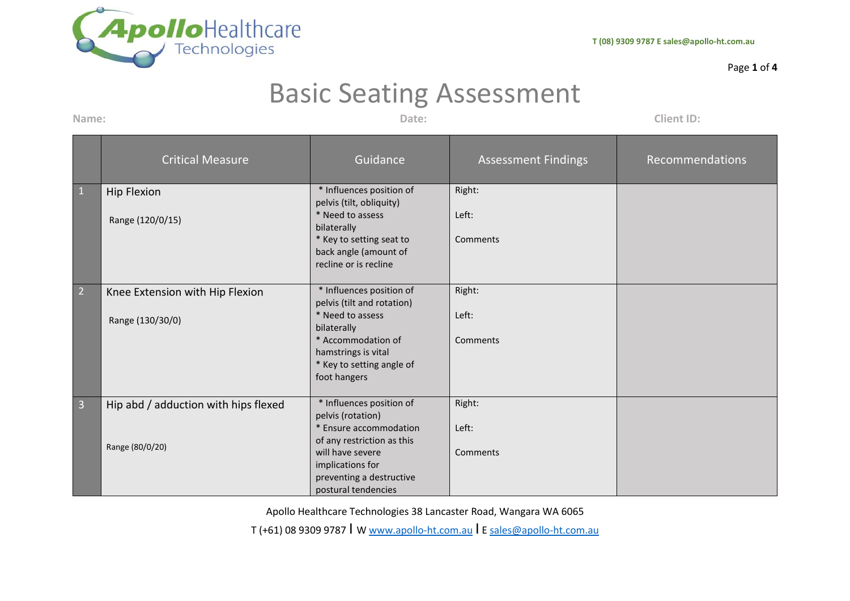

## Page **1** of **4**

## Basic Seating Assessment

**Name: Date: Client ID:**

|                | <b>Critical Measure</b>              | Guidance                                                                               | <b>Assessment Findings</b> | Recommendations |
|----------------|--------------------------------------|----------------------------------------------------------------------------------------|----------------------------|-----------------|
| $\mathbf{1}$   | <b>Hip Flexion</b>                   | * Influences position of                                                               | Right:                     |                 |
|                | Range (120/0/15)                     | pelvis (tilt, obliquity)<br>* Need to assess<br>bilaterally                            | Left:                      |                 |
|                |                                      | * Key to setting seat to<br>back angle (amount of<br>recline or is recline             | Comments                   |                 |
| $\overline{2}$ | Knee Extension with Hip Flexion      | * Influences position of                                                               | Right:                     |                 |
|                | Range (130/30/0)                     | pelvis (tilt and rotation)<br>* Need to assess<br>bilaterally                          | Left:                      |                 |
|                |                                      | * Accommodation of<br>hamstrings is vital<br>* Key to setting angle of<br>foot hangers | Comments                   |                 |
| $\overline{3}$ | Hip abd / adduction with hips flexed | * Influences position of                                                               | Right:                     |                 |
|                | Range (80/0/20)                      | pelvis (rotation)<br>* Ensure accommodation<br>of any restriction as this              | Left:                      |                 |
|                |                                      | will have severe<br>implications for<br>preventing a destructive                       | Comments                   |                 |
|                |                                      | postural tendencies                                                                    |                            |                 |

Apollo Healthcare Technologies 38 Lancaster Road, Wangara WA 6065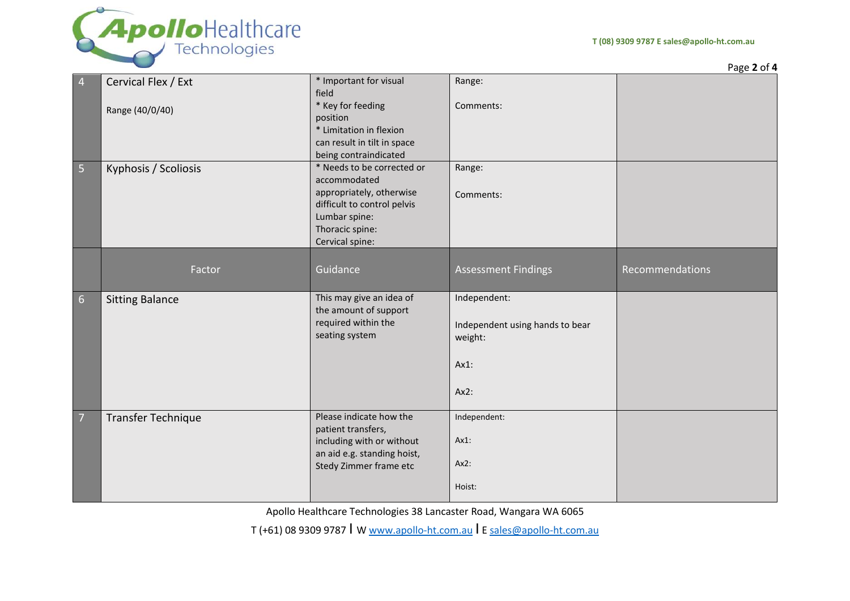

Page **2** of **4**

| * Important for visual                            | Range:                                                                                                                                                                                                                                                                                    |                                  |
|---------------------------------------------------|-------------------------------------------------------------------------------------------------------------------------------------------------------------------------------------------------------------------------------------------------------------------------------------------|----------------------------------|
|                                                   |                                                                                                                                                                                                                                                                                           |                                  |
|                                                   |                                                                                                                                                                                                                                                                                           |                                  |
|                                                   |                                                                                                                                                                                                                                                                                           |                                  |
|                                                   |                                                                                                                                                                                                                                                                                           |                                  |
|                                                   |                                                                                                                                                                                                                                                                                           |                                  |
|                                                   |                                                                                                                                                                                                                                                                                           |                                  |
|                                                   |                                                                                                                                                                                                                                                                                           |                                  |
|                                                   |                                                                                                                                                                                                                                                                                           |                                  |
|                                                   |                                                                                                                                                                                                                                                                                           |                                  |
|                                                   |                                                                                                                                                                                                                                                                                           |                                  |
|                                                   |                                                                                                                                                                                                                                                                                           |                                  |
|                                                   |                                                                                                                                                                                                                                                                                           |                                  |
|                                                   |                                                                                                                                                                                                                                                                                           |                                  |
|                                                   |                                                                                                                                                                                                                                                                                           |                                  |
|                                                   |                                                                                                                                                                                                                                                                                           |                                  |
| Guidance                                          | <b>Assessment Findings</b>                                                                                                                                                                                                                                                                | Recommendations                  |
|                                                   |                                                                                                                                                                                                                                                                                           |                                  |
| This may give an idea of<br>the amount of support | Independent:                                                                                                                                                                                                                                                                              |                                  |
| required within the                               |                                                                                                                                                                                                                                                                                           |                                  |
| seating system                                    | Independent using hands to bear                                                                                                                                                                                                                                                           |                                  |
|                                                   | weight:                                                                                                                                                                                                                                                                                   |                                  |
|                                                   |                                                                                                                                                                                                                                                                                           |                                  |
|                                                   | $Ax1$ :                                                                                                                                                                                                                                                                                   |                                  |
|                                                   |                                                                                                                                                                                                                                                                                           |                                  |
|                                                   | Ax2:                                                                                                                                                                                                                                                                                      |                                  |
| Please indicate how the                           | Independent:                                                                                                                                                                                                                                                                              |                                  |
| patient transfers,                                |                                                                                                                                                                                                                                                                                           |                                  |
| including with or without                         | Ax1:                                                                                                                                                                                                                                                                                      |                                  |
| an aid e.g. standing hoist,                       |                                                                                                                                                                                                                                                                                           |                                  |
| Stedy Zimmer frame etc                            | Ax2:                                                                                                                                                                                                                                                                                      |                                  |
|                                                   | Hoist:                                                                                                                                                                                                                                                                                    |                                  |
|                                                   | field<br>* Key for feeding<br>position<br>* Limitation in flexion<br>can result in tilt in space<br>being contraindicated<br>* Needs to be corrected or<br>accommodated<br>appropriately, otherwise<br>difficult to control pelvis<br>Lumbar spine:<br>Thoracic spine:<br>Cervical spine: | Comments:<br>Range:<br>Comments: |

Apollo Healthcare Technologies 38 Lancaster Road, Wangara WA 6065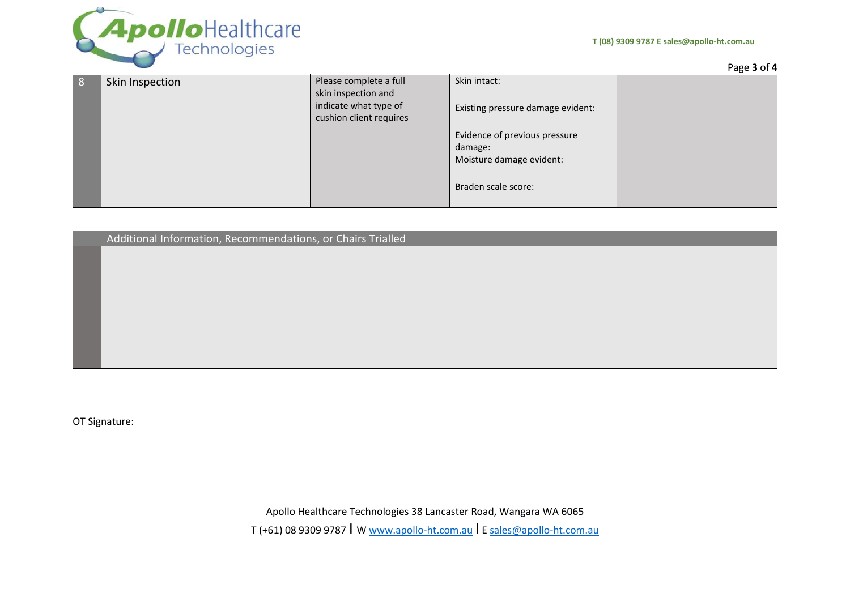



|   |                 |                                                  |                                          | Page 3 of 4 |
|---|-----------------|--------------------------------------------------|------------------------------------------|-------------|
| δ | Skin Inspection | Please complete a full<br>skin inspection and    | Skin intact:                             |             |
|   |                 | indicate what type of<br>cushion client requires | Existing pressure damage evident:        |             |
|   |                 |                                                  | Evidence of previous pressure<br>damage: |             |
|   |                 |                                                  | Moisture damage evident:                 |             |
|   |                 |                                                  | Braden scale score:                      |             |

Additional Information, Recommendations, or Chairs Trialled

OT Signature:

Apollo Healthcare Technologies 38 Lancaster Road, Wangara WA 6065